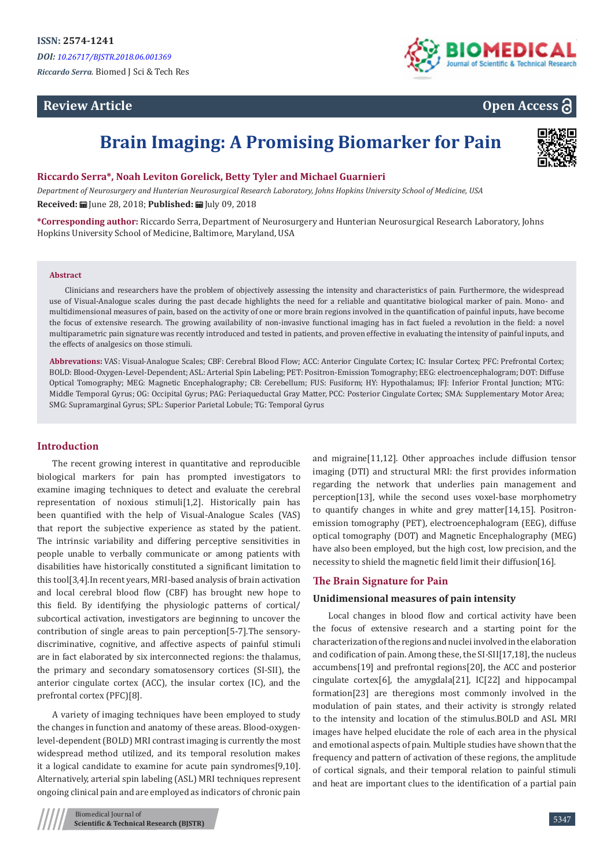# **Review Article**



# **Open Access**

# **Brain Imaging: A Promising Biomarker for Pain**



## **Riccardo Serra\*, Noah Leviton Gorelick, Betty Tyler and Michael Guarnieri**

*Department of Neurosurgery and Hunterian Neurosurgical Research Laboratory, Johns Hopkins University School of Medicine, USA*

**Received:** June 28, 2018; **Published:** July 09, 2018

**\*Corresponding author:** Riccardo Serra, Department of Neurosurgery and Hunterian Neurosurgical Research Laboratory, Johns Hopkins University School of Medicine, Baltimore, Maryland, USA

#### **Abstract**

Clinicians and researchers have the problem of objectively assessing the intensity and characteristics of pain. Furthermore, the widespread use of Visual-Analogue scales during the past decade highlights the need for a reliable and quantitative biological marker of pain. Mono- and multidimensional measures of pain, based on the activity of one or more brain regions involved in the quantification of painful inputs, have become the focus of extensive research. The growing availability of non-invasive functional imaging has in fact fueled a revolution in the field: a novel multiparametric pain signature was recently introduced and tested in patients, and proven effective in evaluating the intensity of painful inputs, and the effects of analgesics on those stimuli.

**Abbrevations:** VAS: Visual-Analogue Scales; CBF: Cerebral Blood Flow; ACC: Anterior Cingulate Cortex; IC: Insular Cortex; PFC: Prefrontal Cortex; BOLD: Blood-Oxygen-Level-Dependent; ASL: Arterial Spin Labeling; PET: Positron-Emission Tomography; EEG: electroencephalogram; DOT: Diffuse Optical Tomography; MEG: Magnetic Encephalography; CB: Cerebellum; FUS: Fusiform; HY: Hypothalamus; IFJ: Inferior Frontal Junction; MTG: Middle Temporal Gyrus; OG: Occipital Gyrus; PAG: Periaqueductal Gray Matter, PCC: Posterior Cingulate Cortex; SMA: Supplementary Motor Area; SMG: Supramarginal Gyrus; SPL: Superior Parietal Lobule; TG: Temporal Gyrus

# **Introduction**

The recent growing interest in quantitative and reproducible biological markers for pain has prompted investigators to examine imaging techniques to detect and evaluate the cerebral representation of noxious stimuli[1,2]. Historically pain has been quantified with the help of Visual-Analogue Scales (VAS) that report the subjective experience as stated by the patient. The intrinsic variability and differing perceptive sensitivities in people unable to verbally communicate or among patients with disabilities have historically constituted a significant limitation to this tool[3,4].In recent years, MRI-based analysis of brain activation and local cerebral blood flow (CBF) has brought new hope to this field. By identifying the physiologic patterns of cortical/ subcortical activation, investigators are beginning to uncover the contribution of single areas to pain perception[5-7].The sensorydiscriminative, cognitive, and affective aspects of painful stimuli are in fact elaborated by six interconnected regions: the thalamus, the primary and secondary somatosensory cortices (SI-SII), the anterior cingulate cortex (ACC), the insular cortex (IC), and the prefrontal cortex (PFC)[8].

A variety of imaging techniques have been employed to study the changes in function and anatomy of these areas. Blood-oxygenlevel-dependent (BOLD) MRI contrast imaging is currently the most widespread method utilized, and its temporal resolution makes it a logical candidate to examine for acute pain syndromes[9,10]. Alternatively, arterial spin labeling (ASL) MRI techniques represent ongoing clinical pain and are employed as indicators of chronic pain

and migraine[11,12]. Other approaches include diffusion tensor imaging (DTI) and structural MRI: the first provides information regarding the network that underlies pain management and perception[13], while the second uses voxel-base morphometry to quantify changes in white and grey matter[14,15]. Positronemission tomography (PET), electroencephalogram (EEG), diffuse optical tomography (DOT) and Magnetic Encephalography (MEG) have also been employed, but the high cost, low precision, and the necessity to shield the magnetic field limit their diffusion[16].

### **The Brain Signature for Pain**

#### **Unidimensional measures of pain intensity**

Local changes in blood flow and cortical activity have been the focus of extensive research and a starting point for the characterization of the regions and nuclei involved in the elaboration and codification of pain. Among these, the SI-SII[17,18], the nucleus accumbens[19] and prefrontal regions[20], the ACC and posterior cingulate cortex[6], the amygdala[21], IC[22] and hippocampal formation[23] are theregions most commonly involved in the modulation of pain states, and their activity is strongly related to the intensity and location of the stimulus.BOLD and ASL MRI images have helped elucidate the role of each area in the physical and emotional aspects of pain. Multiple studies have shown that the frequency and pattern of activation of these regions, the amplitude of cortical signals, and their temporal relation to painful stimuli and heat are important clues to the identification of a partial pain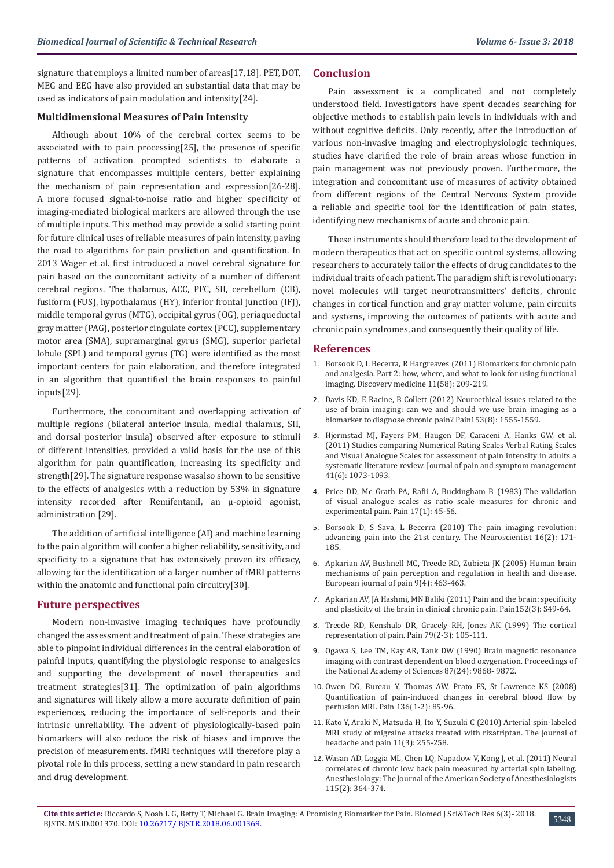signature that employs a limited number of areas[17,18]. PET, DOT, MEG and EEG have also provided an substantial data that may be used as indicators of pain modulation and intensity[24].

#### **Multidimensional Measures of Pain Intensity**

Although about 10% of the cerebral cortex seems to be associated with to pain processing[25], the presence of specific patterns of activation prompted scientists to elaborate a signature that encompasses multiple centers, better explaining the mechanism of pain representation and expression[26-28]. A more focused signal-to-noise ratio and higher specificity of imaging-mediated biological markers are allowed through the use of multiple inputs. This method may provide a solid starting point for future clinical uses of reliable measures of pain intensity, paving the road to algorithms for pain prediction and quantification. In 2013 Wager et al. first introduced a novel cerebral signature for pain based on the concomitant activity of a number of different cerebral regions. The thalamus, ACC, PFC, SII, cerebellum (CB), fusiform (FUS), hypothalamus (HY), inferior frontal junction (IFJ), middle temporal gyrus (MTG), occipital gyrus (OG), periaqueductal gray matter (PAG), posterior cingulate cortex (PCC), supplementary motor area (SMA), supramarginal gyrus (SMG), superior parietal lobule (SPL) and temporal gyrus (TG) were identified as the most important centers for pain elaboration, and therefore integrated in an algorithm that quantified the brain responses to painful inputs[29].

Furthermore, the concomitant and overlapping activation of multiple regions (bilateral anterior insula, medial thalamus, SII, and dorsal posterior insula) observed after exposure to stimuli of different intensities, provided a valid basis for the use of this algorithm for pain quantification, increasing its specificity and strength[29]. The signature response wasalso shown to be sensitive to the effects of analgesics with a reduction by 53% in signature intensity recorded after Remifentanil, an µ-opioid agonist, administration [29].

The addition of artificial intelligence (AI) and machine learning to the pain algorithm will confer a higher reliability, sensitivity, and specificity to a signature that has extensively proven its efficacy, allowing for the identification of a larger number of fMRI patterns within the anatomic and functional pain circuitry[30].

#### **Future perspectives**

Modern non-invasive imaging techniques have profoundly changed the assessment and treatment of pain. These strategies are able to pinpoint individual differences in the central elaboration of painful inputs, quantifying the physiologic response to analgesics and supporting the development of novel therapeutics and treatment strategies[31]. The optimization of pain algorithms and signatures will likely allow a more accurate definition of pain experiences, reducing the importance of self-reports and their intrinsic unreliability. The advent of physiologically-based pain biomarkers will also reduce the risk of biases and improve the precision of measurements. fMRI techniques will therefore play a pivotal role in this process, setting a new standard in pain research and drug development.

## **Conclusion**

Pain assessment is a complicated and not completely understood field. Investigators have spent decades searching for objective methods to establish pain levels in individuals with and without cognitive deficits. Only recently, after the introduction of various non-invasive imaging and electrophysiologic techniques, studies have clarified the role of brain areas whose function in pain management was not previously proven. Furthermore, the integration and concomitant use of measures of activity obtained from different regions of the Central Nervous System provide a reliable and specific tool for the identification of pain states, identifying new mechanisms of acute and chronic pain.

These instruments should therefore lead to the development of modern therapeutics that act on specific control systems, allowing researchers to accurately tailor the effects of drug candidates to the individual traits of each patient. The paradigm shift is revolutionary: novel molecules will target neurotransmitters' deficits, chronic changes in cortical function and gray matter volume, pain circuits and systems, improving the outcomes of patients with acute and chronic pain syndromes, and consequently their quality of life.

#### **References**

- 1. [Borsook D, L Becerra, R Hargreaves \(2011\) Biomarkers for chronic pain](https://www.ncbi.nlm.nih.gov/pubmed/21447280) [and analgesia. Part 2: how, where, and what to look for using functional](https://www.ncbi.nlm.nih.gov/pubmed/21447280) [imaging. Discovery medicine 11\(58\): 209-219.](https://www.ncbi.nlm.nih.gov/pubmed/21447280)
- 2. [Davis KD, E Racine, B Collett \(2012\) Neuroethical issues related to the](https://www.ncbi.nlm.nih.gov/pubmed/22464695) [use of brain imaging: can we and should we use brain imaging as a](https://www.ncbi.nlm.nih.gov/pubmed/22464695) [biomarker to diagnose chronic pain? Pain153\(8\): 1555-1559.](https://www.ncbi.nlm.nih.gov/pubmed/22464695)
- 3. [Hjermstad MJ, Fayers PM, Haugen DF, Caraceni A, Hanks GW, et al.](https://www.ncbi.nlm.nih.gov/pubmed/21621130) [\(2011\) Studies comparing Numerical Rating Scales Verbal Rating Scales](https://www.ncbi.nlm.nih.gov/pubmed/21621130) [and Visual Analogue Scales for assessment of pain intensity in adults a](https://www.ncbi.nlm.nih.gov/pubmed/21621130) [systematic literature review. Journal of pain and symptom management](https://www.ncbi.nlm.nih.gov/pubmed/21621130) [41\(6\): 1073-1093.](https://www.ncbi.nlm.nih.gov/pubmed/21621130)
- 4. [Price DD, Mc Grath PA, Rafii A, Buckingham B \(1983\) The validation](https://www.ncbi.nlm.nih.gov/pubmed/6226917) [of visual analogue scales as ratio scale measures for chronic and](https://www.ncbi.nlm.nih.gov/pubmed/6226917) [experimental pain. Pain 17\(1\): 45-56.](https://www.ncbi.nlm.nih.gov/pubmed/6226917)
- 5. [Borsook D, S Sava, L Becerra \(2010\) The pain imaging revolution:](https://www.ncbi.nlm.nih.gov/pubmed/20400714) [advancing pain into the 21st century. The Neuroscientist 16\(2\): 171-](https://www.ncbi.nlm.nih.gov/pubmed/20400714) [185.](https://www.ncbi.nlm.nih.gov/pubmed/20400714)
- 6. [Apkarian AV, Bushnell MC, Treede RD, Zubieta JK \(2005\) Human brain](https://www.ncbi.nlm.nih.gov/pubmed/15979027) [mechanisms of pain perception and regulation in health and disease.](https://www.ncbi.nlm.nih.gov/pubmed/15979027) [European journal of pain 9\(4\): 463-463.](https://www.ncbi.nlm.nih.gov/pubmed/15979027)
- 7. [Apkarian AV, JA Hashmi, MN Baliki \(2011\) Pain and the brain: specificity](https://www.ncbi.nlm.nih.gov/pubmed/21146929) [and plasticity of the brain in clinical chronic pain. Pain152\(3\): S49-64.](https://www.ncbi.nlm.nih.gov/pubmed/21146929)
- 8. [Treede RD, Kenshalo DR, Gracely RH, Jones AK \(1999\) The cortical](https://www.ncbi.nlm.nih.gov/pubmed/10068155) [representation of pain. Pain 79\(2-3\): 105-111.](https://www.ncbi.nlm.nih.gov/pubmed/10068155)
- 9. [Ogawa S, Lee TM, Kay AR, Tank DW \(1990\) Brain magnetic resonance](https://www.ncbi.nlm.nih.gov/pubmed/2124706/) [imaging with contrast dependent on blood oxygenation. Proceedings of](https://www.ncbi.nlm.nih.gov/pubmed/2124706/) [the National Academy of Sciences 87\(24\): 9868- 9872.](https://www.ncbi.nlm.nih.gov/pubmed/2124706/)
- 10. [Owen DG, Bureau Y, Thomas AW, Prato FS, St Lawrence KS \(2008\)](https://www.ncbi.nlm.nih.gov/pubmed/17716820) [Quantification of pain-induced changes in cerebral blood flow by](https://www.ncbi.nlm.nih.gov/pubmed/17716820) [perfusion MRI. Pain 136\(1-2\): 85-96.](https://www.ncbi.nlm.nih.gov/pubmed/17716820)
- 11. [Kato Y, Araki N, Matsuda H, Ito Y, Suzuki C \(2010\) Arterial spin-labeled](https://www.ncbi.nlm.nih.gov/pubmed/20411294) [MRI study of migraine attacks treated with rizatriptan. The journal of](https://www.ncbi.nlm.nih.gov/pubmed/20411294) [headache and pain 11\(3\): 255-258.](https://www.ncbi.nlm.nih.gov/pubmed/20411294)
- 12. [Wasan AD, Loggia ML, Chen LQ, Napadow V, Kong J, et al. \(2011\) Neural](https://www.ncbi.nlm.nih.gov/pubmed/21720241) [correlates of chronic low back pain measured by arterial spin labeling.](https://www.ncbi.nlm.nih.gov/pubmed/21720241) [Anesthesiology: The Journal of the American Society of Anesthesiologists](https://www.ncbi.nlm.nih.gov/pubmed/21720241) [115\(2\): 364-374.](https://www.ncbi.nlm.nih.gov/pubmed/21720241)